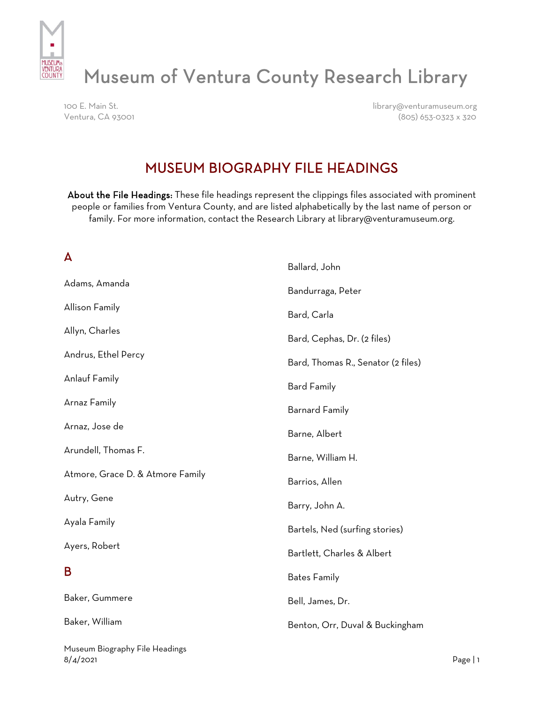

# Museum of Ventura County Research Library

100 E. Main St. library@venturamuseum.org Ventura, CA 93001 (805) 653-0323 x 320

# MUSEUM BIOGRAPHY FILE HEADINGS

About the File Headings: These file headings represent the clippings files associated with prominent people or families from Ventura County, and are listed alphabetically by the last name of person or family. For more information, contact the Research Library at library@venturamuseum.org.

#### A

|                                  | Ballard, John                      |
|----------------------------------|------------------------------------|
| Adams, Amanda                    | Bandurraga, Peter                  |
| Allison Family                   | Bard, Carla                        |
| Allyn, Charles                   | Bard, Cephas, Dr. (2 files)        |
| Andrus, Ethel Percy              | Bard, Thomas R., Senator (2 files) |
| <b>Anlauf Family</b>             | <b>Bard Family</b>                 |
| Arnaz Family                     | <b>Barnard Family</b>              |
| Arnaz, Jose de                   | Barne, Albert                      |
| Arundell, Thomas F.              | Barne, William H.                  |
| Atmore, Grace D. & Atmore Family | Barrios, Allen                     |
| Autry, Gene                      | Barry, John A.                     |
| Ayala Family                     | Bartels, Ned (surfing stories)     |
| Ayers, Robert                    | Bartlett, Charles & Albert         |
| B                                | <b>Bates Family</b>                |
| Baker, Gummere                   | Bell, James, Dr.                   |
| Baker, William                   | Benton, Orr, Duval & Buckingham    |
| Museum Biography File Headings   |                                    |

8/4/2021 Page | 1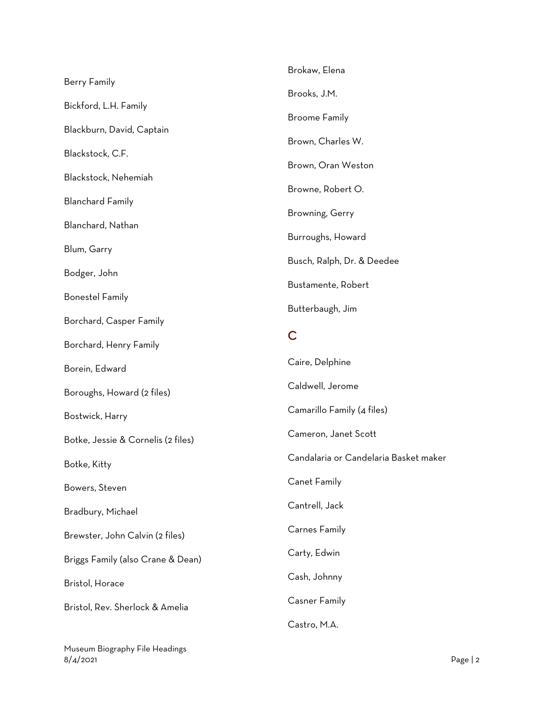|                                    | Brokaw, Elena                         |
|------------------------------------|---------------------------------------|
| <b>Berry Family</b>                | Brooks, J.M.                          |
| Bickford, L.H. Family              |                                       |
| Blackburn, David, Captain          | <b>Broome Family</b>                  |
| Blackstock, C.F.                   | Brown, Charles W.                     |
| Blackstock, Nehemiah               | Brown, Oran Weston                    |
| <b>Blanchard Family</b>            | Browne, Robert O.                     |
| Blanchard, Nathan                  | Browning, Gerry                       |
|                                    | Burroughs, Howard                     |
| Blum, Garry                        | Busch, Ralph, Dr. & Deedee            |
| Bodger, John                       | Bustamente, Robert                    |
| <b>Bonestel Family</b>             | Butterbaugh, Jim                      |
| Borchard, Casper Family            | C                                     |
| Borchard, Henry Family             |                                       |
| Borein, Edward                     | Caire, Delphine                       |
| Boroughs, Howard (2 files)         | Caldwell, Jerome                      |
| Bostwick, Harry                    | Camarillo Family (4 files)            |
| Botke, Jessie & Cornelis (2 files) | Cameron, Janet Scott                  |
| Botke, Kitty                       | Candalaria or Candelaria Basket maker |
| Bowers, Steven                     | Canet Family                          |
| Bradbury, Michael                  | Cantrell, Jack                        |
| Brewster, John Calvin (2 files)    | <b>Carnes Family</b>                  |
| Briggs Family (also Crane & Dean)  | Carty, Edwin                          |
| Bristol, Horace                    | Cash, Johnny                          |
| Bristol, Rev. Sherlock & Amelia    | <b>Casner Family</b>                  |
|                                    | Castro, M.A.                          |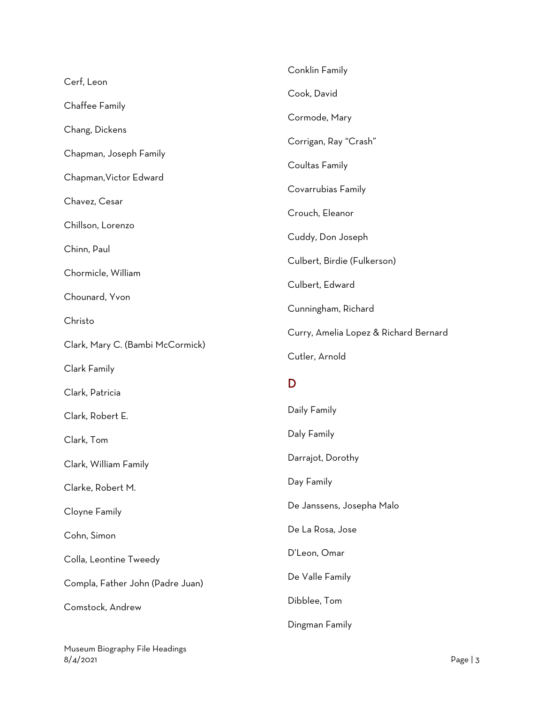|                                  | Conklin Family                        |
|----------------------------------|---------------------------------------|
| Cerf, Leon                       | Cook, David                           |
| Chaffee Family                   | Cormode, Mary                         |
| Chang, Dickens                   | Corrigan, Ray "Crash"                 |
| Chapman, Joseph Family           |                                       |
| Chapman, Victor Edward           | Coultas Family                        |
| Chavez, Cesar                    | Covarrubias Family                    |
| Chillson, Lorenzo                | Crouch, Eleanor                       |
| Chinn, Paul                      | Cuddy, Don Joseph                     |
| Chormicle, William               | Culbert, Birdie (Fulkerson)           |
|                                  | Culbert, Edward                       |
| Chounard, Yvon                   | Cunningham, Richard                   |
| Christo                          | Curry, Amelia Lopez & Richard Bernard |
|                                  |                                       |
| Clark, Mary C. (Bambi McCormick) | Cutler, Arnold                        |
| Clark Family                     |                                       |
| Clark, Patricia                  | D                                     |
| Clark, Robert E.                 | Daily Family                          |
| Clark, Tom                       | Daly Family                           |
| Clark, William Family            | Darrajot, Dorothy                     |
| Clarke, Robert M.                | Day Family                            |
| Cloyne Family                    | De Janssens, Josepha Malo             |
| Cohn, Simon                      | De La Rosa, Jose                      |
| Colla, Leontine Tweedy           | D'Leon, Omar                          |
| Compla, Father John (Padre Juan) | De Valle Family                       |
| Comstock, Andrew                 | Dibblee, Tom                          |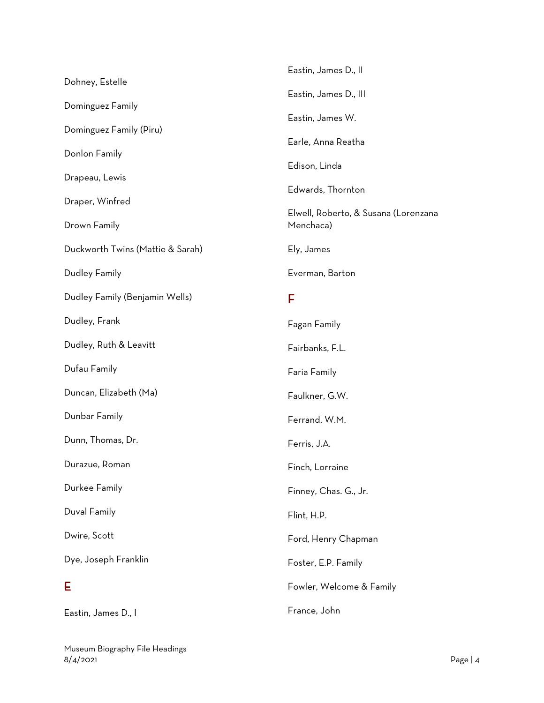|                                  | Eastin, James D., II                              |
|----------------------------------|---------------------------------------------------|
| Dohney, Estelle                  | Eastin, James D., III                             |
| Dominguez Family                 | Eastin, James W.                                  |
| Dominguez Family (Piru)          | Earle, Anna Reatha                                |
| Donlon Family                    |                                                   |
| Drapeau, Lewis                   | Edison, Linda                                     |
| Draper, Winfred                  | Edwards, Thornton                                 |
| Drown Family                     | Elwell, Roberto, & Susana (Lorenzana<br>Menchaca) |
| Duckworth Twins (Mattie & Sarah) | Ely, James                                        |
| Dudley Family                    | Everman, Barton                                   |
| Dudley Family (Benjamin Wells)   | F                                                 |
| Dudley, Frank                    | Fagan Family                                      |
| Dudley, Ruth & Leavitt           | Fairbanks, F.L.                                   |
| Dufau Family                     | Faria Family                                      |
| Duncan, Elizabeth (Ma)           | Faulkner, G.W.                                    |
| Dunbar Family                    | Ferrand, W.M.                                     |
| Dunn, Thomas, Dr.                | Ferris, J.A.                                      |
| Durazue, Roman                   | Finch, Lorraine                                   |
| Durkee Family                    | Finney, Chas. G., Jr.                             |
| Duval Family                     | Flint, H.P.                                       |
| Dwire, Scott                     | Ford, Henry Chapman                               |
| Dye, Joseph Franklin             | Foster, E.P. Family                               |
| E                                | Fowler, Welcome & Family                          |
| Eastin, James D., I              | France, John                                      |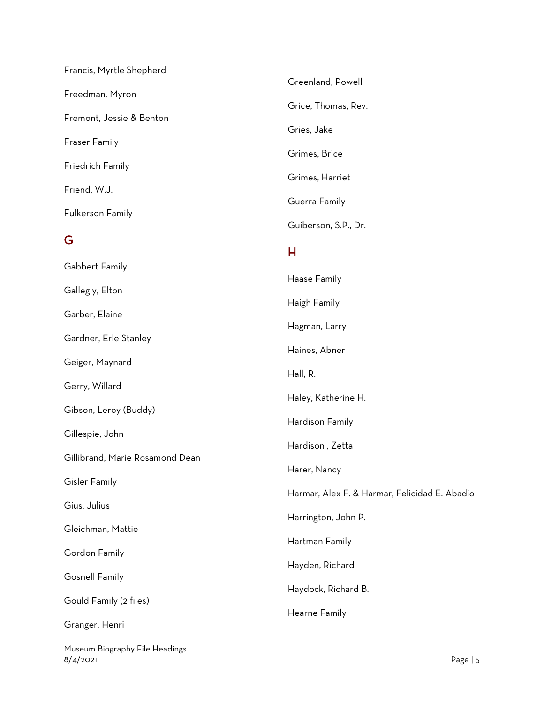| Francis, Myrtle Shepherd        |                                          |
|---------------------------------|------------------------------------------|
| Freedman, Myron                 | Greenland, Powell<br>Grice, Thomas, Rev. |
| Fremont, Jessie & Benton        | Gries, Jake                              |
| <b>Fraser Family</b>            | Grimes, Brice                            |
| Friedrich Family                | Grimes, Harriet                          |
| Friend, W.J.                    | Guerra Family                            |
| Fulkerson Family                | Guiberson, S.P., Dr.                     |
| G                               | H                                        |
| Gabbert Family                  | Haase Family                             |
| Gallegly, Elton                 | Haigh Family                             |
| Garber, Elaine                  | Hagman, Larry                            |
| Gardner, Erle Stanley           | Haines, Abner                            |
| Geiger, Maynard                 | Hall, R.                                 |
| Gerry, Willard                  | Haley, Katherine H.                      |
| Gibson, Leroy (Buddy)           | Hardison Family                          |
| Gillespie, John                 | Hardison, Zetta                          |
| Gillibrand, Marie Rosamond Dean | Harer, Nancy                             |

Gisler Family

Gius, Julius

Gleichman, Mattie

Gordon Family

Gosnell Family

Gould Family (2 files)

Granger, Henri

Museum Biography File Headings 8/4/2021 Page | 5

Harmar, Alex F. & Harmar, Felicidad E. Abadio

Harrington, John P.

Hartman Family

Hayden, Richard

Hearne Family

Haydock, Richard B.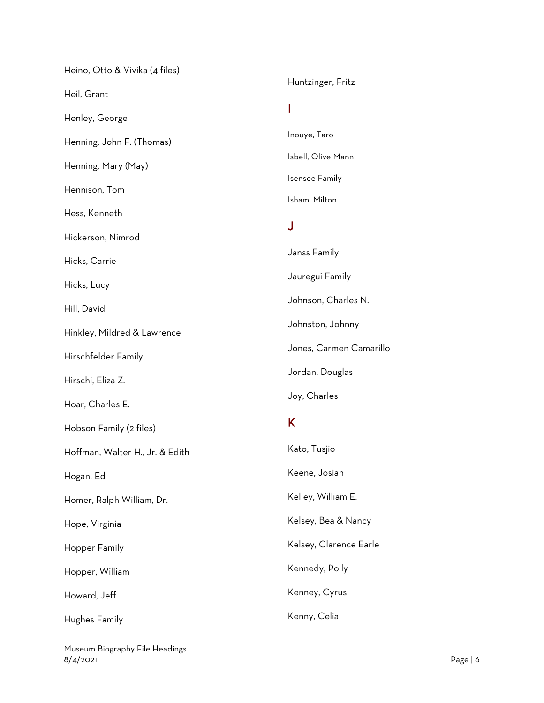| Huntzinger, Fritz       |
|-------------------------|
|                         |
| Inouye, Taro            |
| Isbell, Olive Mann      |
| Isensee Family          |
| Isham, Milton           |
| J                       |
| Janss Family            |
| Jauregui Family         |
| Johnson, Charles N.     |
| Johnston, Johnny        |
| Jones, Carmen Camarillo |
| Jordan, Douglas         |
| Joy, Charles            |
| Κ                       |
| Kato, Tusjio            |
| Keene, Josiah           |
| Kelley, William E.      |
| Kelsey, Bea & Nancy     |
| Kelsey, Clarence Earle  |
| Kennedy, Polly          |
| Kenney, Cyrus           |
| Kenny, Celia            |
|                         |

Museum Biography File Headings 8/4/2021 Page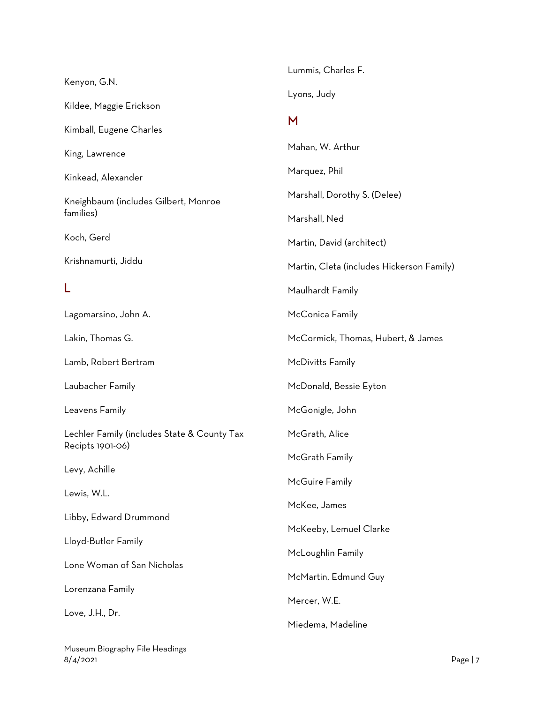|                                                                 | Lummis, Charles F.                        |
|-----------------------------------------------------------------|-------------------------------------------|
| Kenyon, G.N.                                                    | Lyons, Judy                               |
| Kildee, Maggie Erickson                                         |                                           |
| Kimball, Eugene Charles                                         | M                                         |
| King, Lawrence                                                  | Mahan, W. Arthur                          |
| Kinkead, Alexander                                              | Marquez, Phil                             |
| Kneighbaum (includes Gilbert, Monroe                            | Marshall, Dorothy S. (Delee)              |
| families)                                                       | Marshall, Ned                             |
| Koch, Gerd                                                      | Martin, David (architect)                 |
| Krishnamurti, Jiddu                                             | Martin, Cleta (includes Hickerson Family) |
| L                                                               | Maulhardt Family                          |
| Lagomarsino, John A.                                            | McConica Family                           |
| Lakin, Thomas G.                                                | McCormick, Thomas, Hubert, & James        |
| Lamb, Robert Bertram                                            | McDivitts Family                          |
| Laubacher Family                                                | McDonald, Bessie Eyton                    |
| Leavens Family                                                  | McGonigle, John                           |
| Lechler Family (includes State & County Tax<br>Recipts 1901-06) | McGrath, Alice                            |
|                                                                 | McGrath Family                            |
| Levy, Achille                                                   | McGuire Family                            |
| Lewis, W.L.                                                     | McKee, James                              |
| Libby, Edward Drummond                                          | McKeeby, Lemuel Clarke                    |
| Lloyd-Butler Family                                             | McLoughlin Family                         |
| Lone Woman of San Nicholas                                      | McMartin, Edmund Guy                      |
| Lorenzana Family                                                | Mercer, W.E.                              |
| Love, J.H., Dr.                                                 | Miedema, Madeline                         |
|                                                                 |                                           |

Museum Biography File Headings 8/4/2021 Page | 7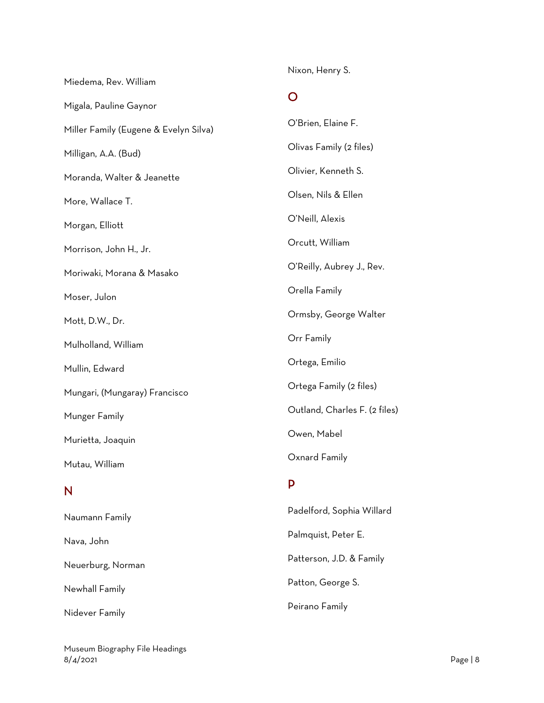Miedema, Rev. William

Nixon, Henry S.

#### O

| Migala, Pauline Gaynor                |                               |
|---------------------------------------|-------------------------------|
| Miller Family (Eugene & Evelyn Silva) | O'Brien, Elaine F.            |
| Milligan, A.A. (Bud)                  | Olivas Family (2 files)       |
| Moranda, Walter & Jeanette            | Olivier, Kenneth S.           |
| More, Wallace T.                      | Olsen, Nils & Ellen           |
| Morgan, Elliott                       | O'Neill, Alexis               |
| Morrison, John H., Jr.                | Orcutt, William               |
| Moriwaki, Morana & Masako             | O'Reilly, Aubrey J., Rev.     |
| Moser, Julon                          | Orella Family                 |
| Mott, D.W., Dr.                       | Ormsby, George Walter         |
| Mulholland, William                   | Orr Family                    |
| Mullin, Edward                        | Ortega, Emilio                |
| Mungari, (Mungaray) Francisco         | Ortega Family (2 files)       |
| Munger Family                         | Outland, Charles F. (2 files) |
| Murietta, Joaquin                     | Owen, Mabel                   |
| Mutau, William                        | Oxnard Family                 |
| N                                     | P                             |
|                                       | Padelford, Sophia Willard     |
| Naumann Family                        | Palmquist, Peter E.           |
| Nava, John                            |                               |
| Neuerburg, Norman                     | Patterson, J.D. & Family      |
| Newhall Family                        | Patton, George S.             |
| Nidever Family                        | Peirano Family                |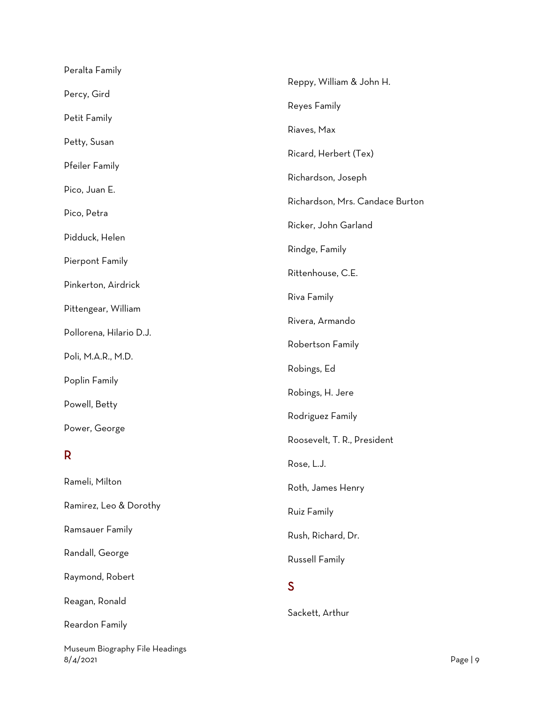| Peralta Family          |                                 |
|-------------------------|---------------------------------|
| Percy, Gird             | Reppy, William & John H.        |
|                         | Reyes Family                    |
| Petit Family            | Riaves, Max                     |
| Petty, Susan            | Ricard, Herbert (Tex)           |
| Pfeiler Family          |                                 |
| Pico, Juan E.           | Richardson, Joseph              |
| Pico, Petra             | Richardson, Mrs. Candace Burton |
|                         | Ricker, John Garland            |
| Pidduck, Helen          | Rindge, Family                  |
| Pierpont Family         | Rittenhouse, C.E.               |
| Pinkerton, Airdrick     | Riva Family                     |
| Pittengear, William     |                                 |
| Pollorena, Hilario D.J. | Rivera, Armando                 |
| Poli, M.A.R., M.D.      | Robertson Family                |
|                         | Robings, Ed                     |
| Poplin Family           | Robings, H. Jere                |
| Powell, Betty           | Rodriguez Family                |
| Power, George           |                                 |
| R                       | Roosevelt, T. R., President     |
|                         | Rose, L.J.                      |
| Rameli, Milton          | Roth, James Henry               |
| Ramirez, Leo & Dorothy  | Ruiz Family                     |
| Ramsauer Family         | Rush, Richard, Dr.              |
| Randall, George         | Russell Family                  |
| Raymond, Robert         | S                               |
| Reagan, Ronald          |                                 |
| Reardon Family          | Sackett, Arthur                 |
|                         |                                 |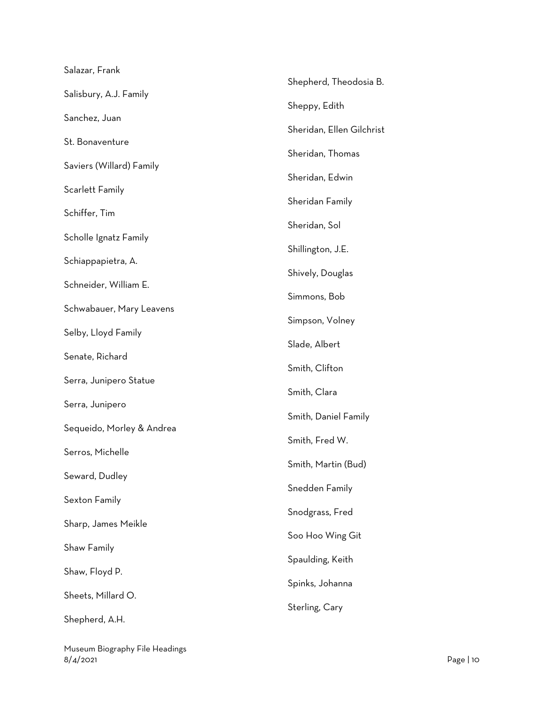| Salazar, Frank            |                           |
|---------------------------|---------------------------|
| Salisbury, A.J. Family    | Shepherd, Theodosia B.    |
| Sanchez, Juan             | Sheppy, Edith             |
|                           | Sheridan, Ellen Gilchrist |
| St. Bonaventure           | Sheridan, Thomas          |
| Saviers (Willard) Family  | Sheridan, Edwin           |
| Scarlett Family           | Sheridan Family           |
| Schiffer, Tim             | Sheridan, Sol             |
| Scholle Ignatz Family     |                           |
| Schiappapietra, A.        | Shillington, J.E.         |
| Schneider, William E.     | Shively, Douglas          |
| Schwabauer, Mary Leavens  | Simmons, Bob              |
| Selby, Lloyd Family       | Simpson, Volney           |
|                           | Slade, Albert             |
| Senate, Richard           | Smith, Clifton            |
| Serra, Junipero Statue    | Smith, Clara              |
| Serra, Junipero           | Smith, Daniel Family      |
| Sequeido, Morley & Andrea | Smith, Fred W.            |
| Serros, Michelle          |                           |
| Seward, Dudley            | Smith, Martin (Bud)       |
| Sexton Family             | Snedden Family            |
| Sharp, James Meikle       | Snodgrass, Fred           |
| Shaw Family               | Soo Hoo Wing Git          |
|                           | Spaulding, Keith          |
| Shaw, Floyd P.            | Spinks, Johanna           |
| Sheets, Millard O.        | Sterling, Cary            |
| Shepherd, A.H.            |                           |

Museum Biography File Headings 8/4/2021 Page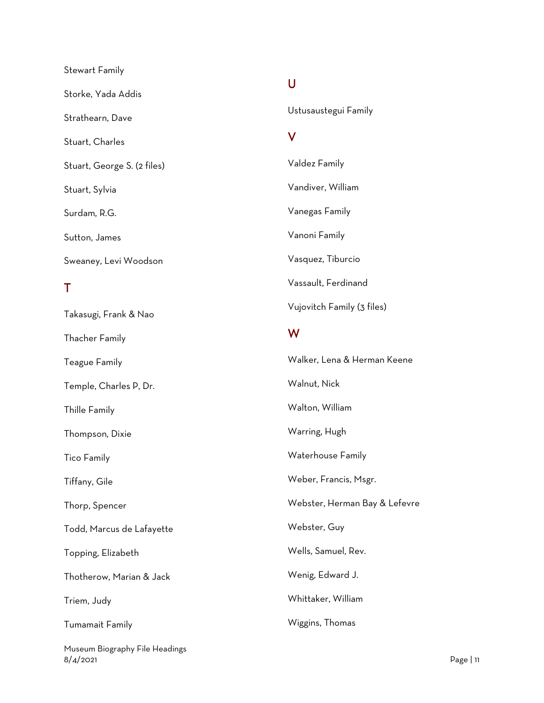| <b>Stewart Family</b>       |
|-----------------------------|
| Storke, Yada Addis          |
| Strathearn, Dave            |
| Stuart, Charles             |
| Stuart, George S. (2 files) |
| Stuart, Sylvia              |
| Surdam, R.G.                |
| Sutton, James               |
| Sweaney, Levi Woodson       |
| Τ                           |
| Takasugi, Frank & Nao       |
| <b>Thacher Family</b>       |
| <b>Teague Family</b>        |
| Temple, Charles P, Dr.      |
| Thille Family               |
| Thompson, Dixie             |
|                             |

Tico Family

Tiffany, Gile

Thorp, Spencer

Todd, Marcus de Lafayette

Topping, Elizabeth

Thotherow, Marian & Jack

Triem, Judy

Tumamait Family

Museum Biography File Headings 8/4/2021 Page | 11

# $\overline{U}$

Ustusaustegui Family

## V

Valdez Family Vandiver, William Vanegas Family Vanoni Family Vasquez, Tiburcio Vassault, Ferdinand Vujovitch Family (3 files) W Walker, Lena & Herman Keene Walnut, Nick Walton, William Warring, Hugh

Waterhouse Family

Weber, Francis, Msgr.

Webster, Herman Bay & Lefevre

Webster, Guy

Wells, Samuel, Rev.

Wenig, Edward J.

Whittaker, William

#### Wiggins, Thomas